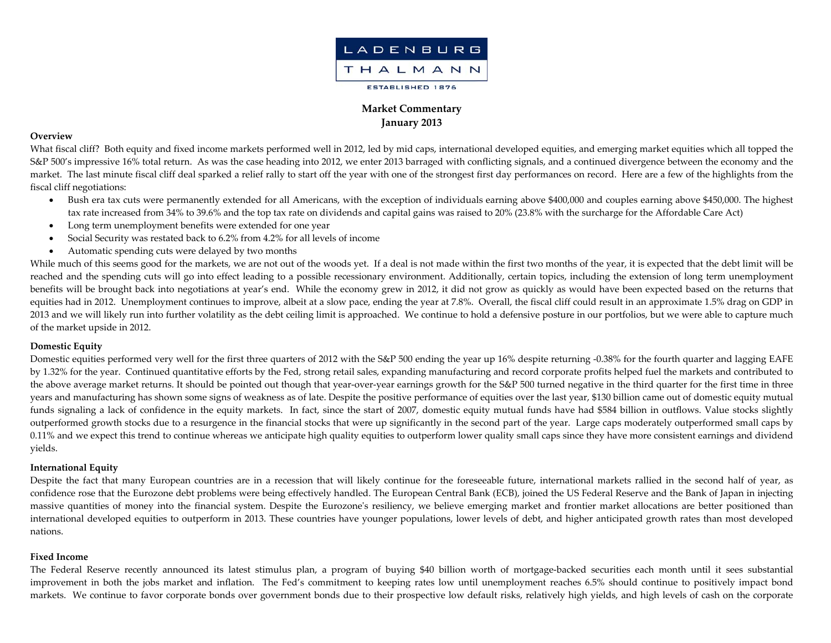

# **Market Commentary January 2013**

#### **Overview**

What fiscal cliff? Both equity and fixed income markets performed well in 2012, led by mid caps, international developed equities, and emerging market equities which all topped the S&P 500's impressive 16% total return. As was the case heading into 2012, we enter 2013 barraged with conflicting signals, and <sup>a</sup> continued divergence between the economy and the market. The last minute fiscal cliff deal sparked <sup>a</sup> relief rally to start off the year with one of the strongest first day performances on record. Here are <sup>a</sup> few of the highlights from the fiscal cliff negotiations:

- Bush era tax cuts were permanently extended for all Americans, with the exception of individuals earning above \$400,000 and couples earning above \$450,000. The highest tax rate increased from 34% to 39.6% and the top tax rate on dividends and capital gains was raised to 20% (23.8% with the surcharge for the Affordable Care Act)
- $\bullet$ Long term unemployment benefits were extended for one year
- $\bullet$ Social Security was restated back to 6.2% from 4.2% for all levels of income
- $\bullet$ Automatic spending cuts were delayed by two months

While much of this seems good for the markets, we are not out of the woods yet. If a deal is not made within the first two months of the year, it is expected that the debt limit will be reached and the spending cuts will go into effect leading to <sup>a</sup> possible recessionary environment. Additionally, certain topics, including the extension of long term unemployment benefits will be brought back into negotiations at year's end. While the economy grew in 2012, it did not grow as quickly as would have been expected based on the returns that equities had in 2012. Unemployment continues to improve, albeit at <sup>a</sup> slow pace, ending the year at 7.8%. Overall, the fiscal cliff could result in an approximate 1.5% drag on GDP in 2013 and we will likely run into further volatility as the debt ceiling limit is approached. We continue to hold <sup>a</sup> defensive posture in our portfolios, but we were able to capture much of the market upside in 2012.

## **Domestic Equity**

Domestic equities performed very well for the first three quarters of 2012 with the S&P 500 ending the year up 16% despite returning ‐0.38% for the fourth quarter and lagging EAFE by 1.32% for the year. Continued quantitative efforts by the Fed, strong retail sales, expanding manufacturing and record corporate profits helped fuel the markets and contributed to the above average market returns. It should be pointed out though that year‐over‐year earnings growth for the S&P 500 turned negative in the third quarter for the first time in three years and manufacturing has shown some signs of weakness as of late. Despite the positive performance of equities over the last year, \$130 billion came out of domestic equity mutual funds signaling <sup>a</sup> lack of confidence in the equity markets. In fact, since the start of 2007, domestic equity mutual funds have had \$584 billion in outflows. Value stocks slightly outperformed growth stocks due to <sup>a</sup> resurgence in the financial stocks that were up significantly in the second par<sup>t</sup> of the year. Large caps moderately outperformed small caps by 0.11% and we expec<sup>t</sup> this trend to continue whereas we anticipate high quality equities to outperform lower quality small caps since they have more consistent earnings and dividend yields.

## **International Equity**

Despite the fact that many European countries are in a recession that will likely continue for the foreseeable future, international markets rallied in the second half of year, as confidence rose that the Eurozone debt problems were being effectively handled. The European Central Bank (ECB), joined the US Federal Reserve and the Bank of Japan in injecting massive quantities of money into the financial system. Despite the Eurozone's resiliency, we believe emerging market and frontier market allocations are better positioned than international developed equities to outperform in 2013. These countries have younger populations, lower levels of debt, and higher anticipated growth rates than most developed nations.

### **Fixed Income**

The Federal Reserve recently announced its latest stimulus plan, <sup>a</sup> program of buying \$40 billion worth of mortgage‐backed securities each month until it sees substantial improvement in both the jobs market and inflation. The Fed's commitment to keeping rates low until unemployment reaches 6.5% should continue to positively impact bond markets. We continue to favor corporate bonds over governmen<sup>t</sup> bonds due to their prospective low default risks, relatively high yields, and high levels of cash on the corporate